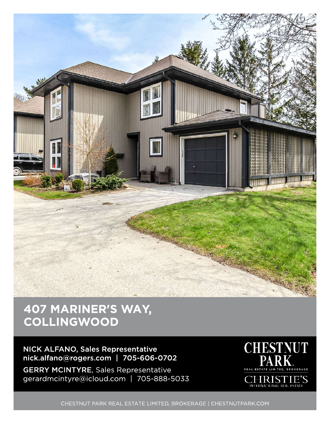

## 407 MARINER'S WAY, **COLLINGWOOD**

NICK ALFANO, Sales Representative nick.alfano@rogers.com | 705-606-0702

**GERRY MCINTYRE, Sales Representative** gerardmcintyre@icloud.com | 705-888-5033



CHESTNUT PARK REAL ESTATE LIMITED, BROKERAGE | CHESTNUTPARK.COM